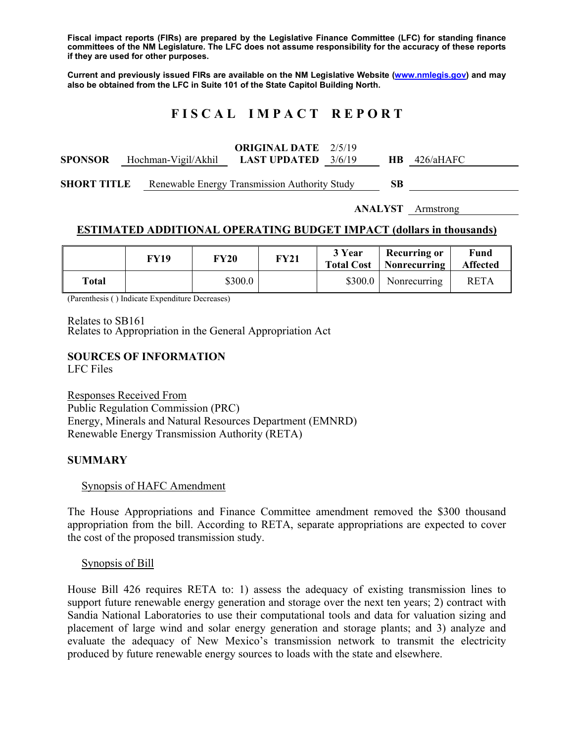**Fiscal impact reports (FIRs) are prepared by the Legislative Finance Committee (LFC) for standing finance committees of the NM Legislature. The LFC does not assume responsibility for the accuracy of these reports if they are used for other purposes.** 

**Current and previously issued FIRs are available on the NM Legislative Website (www.nmlegis.gov) and may also be obtained from the LFC in Suite 101 of the State Capitol Building North.** 

# **F I S C A L I M P A C T R E P O R T**

|                |                                         | <b>ORIGINAL DATE</b> 2/5/19 |  |                |  |
|----------------|-----------------------------------------|-----------------------------|--|----------------|--|
| <b>SPONSOR</b> | Hochman-Vigil/Akhil LAST UPDATED 3/6/19 |                             |  | $HB$ 426/aHAFC |  |
|                |                                         |                             |  |                |  |

**SHORT TITLE** Renewable Energy Transmission Authority Study **SB** 

**ANALYST** Armstrong

### **ESTIMATED ADDITIONAL OPERATING BUDGET IMPACT (dollars in thousands)**

|       | FY19 | <b>FY20</b> | <b>FY21</b> | 3 Year  | <b>Recurring or</b><br><b>Total Cost</b>   Nonrecurring | Fund<br><b>Affected</b> |
|-------|------|-------------|-------------|---------|---------------------------------------------------------|-------------------------|
| Total |      | \$300.0     |             | \$300.0 | Nonrecurring                                            | <b>RETA</b>             |

(Parenthesis ( ) Indicate Expenditure Decreases)

Relates to SB161

Relates to Appropriation in the General Appropriation Act

#### **SOURCES OF INFORMATION**

LFC Files

Responses Received From Public Regulation Commission (PRC) Energy, Minerals and Natural Resources Department (EMNRD) Renewable Energy Transmission Authority (RETA)

### **SUMMARY**

#### Synopsis of HAFC Amendment

The House Appropriations and Finance Committee amendment removed the \$300 thousand appropriation from the bill. According to RETA, separate appropriations are expected to cover the cost of the proposed transmission study.

Synopsis of Bill

House Bill 426 requires RETA to: 1) assess the adequacy of existing transmission lines to support future renewable energy generation and storage over the next ten years; 2) contract with Sandia National Laboratories to use their computational tools and data for valuation sizing and placement of large wind and solar energy generation and storage plants; and 3) analyze and evaluate the adequacy of New Mexico's transmission network to transmit the electricity produced by future renewable energy sources to loads with the state and elsewhere.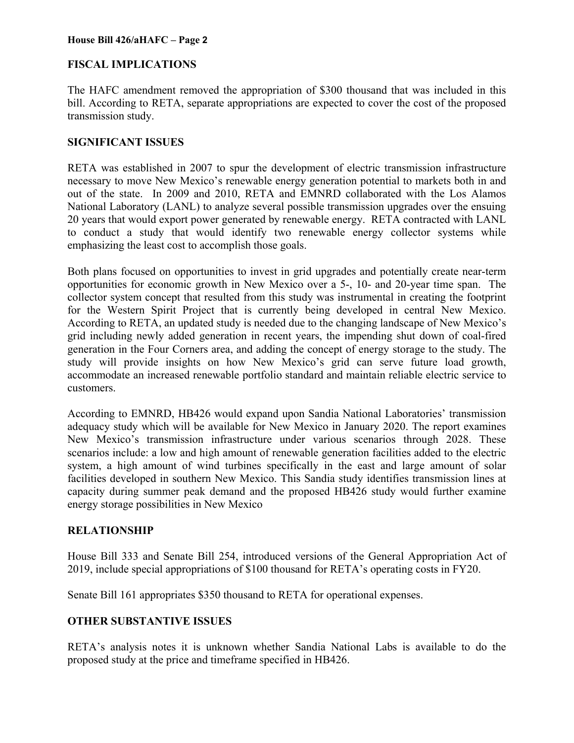## **FISCAL IMPLICATIONS**

The HAFC amendment removed the appropriation of \$300 thousand that was included in this bill. According to RETA, separate appropriations are expected to cover the cost of the proposed transmission study.

## **SIGNIFICANT ISSUES**

RETA was established in 2007 to spur the development of electric transmission infrastructure necessary to move New Mexico's renewable energy generation potential to markets both in and out of the state. In 2009 and 2010, RETA and EMNRD collaborated with the Los Alamos National Laboratory (LANL) to analyze several possible transmission upgrades over the ensuing 20 years that would export power generated by renewable energy. RETA contracted with LANL to conduct a study that would identify two renewable energy collector systems while emphasizing the least cost to accomplish those goals.

Both plans focused on opportunities to invest in grid upgrades and potentially create near-term opportunities for economic growth in New Mexico over a 5-, 10- and 20-year time span. The collector system concept that resulted from this study was instrumental in creating the footprint for the Western Spirit Project that is currently being developed in central New Mexico. According to RETA, an updated study is needed due to the changing landscape of New Mexico's grid including newly added generation in recent years, the impending shut down of coal-fired generation in the Four Corners area, and adding the concept of energy storage to the study. The study will provide insights on how New Mexico's grid can serve future load growth, accommodate an increased renewable portfolio standard and maintain reliable electric service to customers.

According to EMNRD, HB426 would expand upon Sandia National Laboratories' transmission adequacy study which will be available for New Mexico in January 2020. The report examines New Mexico's transmission infrastructure under various scenarios through 2028. These scenarios include: a low and high amount of renewable generation facilities added to the electric system, a high amount of wind turbines specifically in the east and large amount of solar facilities developed in southern New Mexico. This Sandia study identifies transmission lines at capacity during summer peak demand and the proposed HB426 study would further examine energy storage possibilities in New Mexico

## **RELATIONSHIP**

House Bill 333 and Senate Bill 254, introduced versions of the General Appropriation Act of 2019, include special appropriations of \$100 thousand for RETA's operating costs in FY20.

Senate Bill 161 appropriates \$350 thousand to RETA for operational expenses.

## **OTHER SUBSTANTIVE ISSUES**

RETA's analysis notes it is unknown whether Sandia National Labs is available to do the proposed study at the price and timeframe specified in HB426.